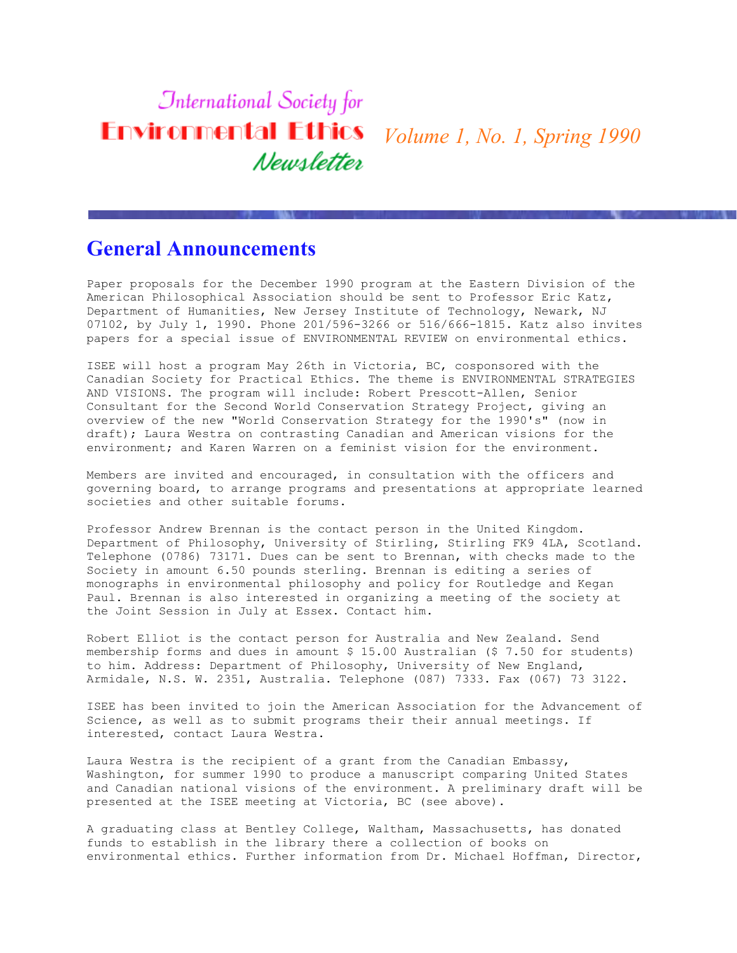# **International Society for** *Volume 1, No. 1, Spring 1990* Newsletter

## **General Announcements**

Paper proposals for the December 1990 program at the Eastern Division of the American Philosophical Association should be sent to Professor Eric Katz, Department of Humanities, New Jersey Institute of Technology, Newark, NJ 07102, by July 1, 1990. Phone 201/596-3266 or 516/666-1815. Katz also invites papers for a special issue of ENVIRONMENTAL REVIEW on environmental ethics.

ISEE will host a program May 26th in Victoria, BC, cosponsored with the Canadian Society for Practical Ethics. The theme is ENVIRONMENTAL STRATEGIES AND VISIONS. The program will include: Robert Prescott-Allen, Senior Consultant for the Second World Conservation Strategy Project, giving an overview of the new "World Conservation Strategy for the 1990's" (now in draft); Laura Westra on contrasting Canadian and American visions for the environment; and Karen Warren on a feminist vision for the environment.

Members are invited and encouraged, in consultation with the officers and governing board, to arrange programs and presentations at appropriate learned societies and other suitable forums.

Professor Andrew Brennan is the contact person in the United Kingdom. Department of Philosophy, University of Stirling, Stirling FK9 4LA, Scotland. Telephone (0786) 73171. Dues can be sent to Brennan, with checks made to the Society in amount 6.50 pounds sterling. Brennan is editing a series of monographs in environmental philosophy and policy for Routledge and Kegan Paul. Brennan is also interested in organizing a meeting of the society at the Joint Session in July at Essex. Contact him.

Robert Elliot is the contact person for Australia and New Zealand. Send membership forms and dues in amount  $$15.00$  Australian ( $$7.50$  for students) to him. Address: Department of Philosophy, University of New England, Armidale, N.S. W. 2351, Australia. Telephone (087) 7333. Fax (067) 73 3122.

ISEE has been invited to join the American Association for the Advancement of Science, as well as to submit programs their their annual meetings. If interested, contact Laura Westra.

Laura Westra is the recipient of a grant from the Canadian Embassy, Washington, for summer 1990 to produce a manuscript comparing United States and Canadian national visions of the environment. A preliminary draft will be presented at the ISEE meeting at Victoria, BC (see above).

A graduating class at Bentley College, Waltham, Massachusetts, has donated funds to establish in the library there a collection of books on environmental ethics. Further information from Dr. Michael Hoffman, Director,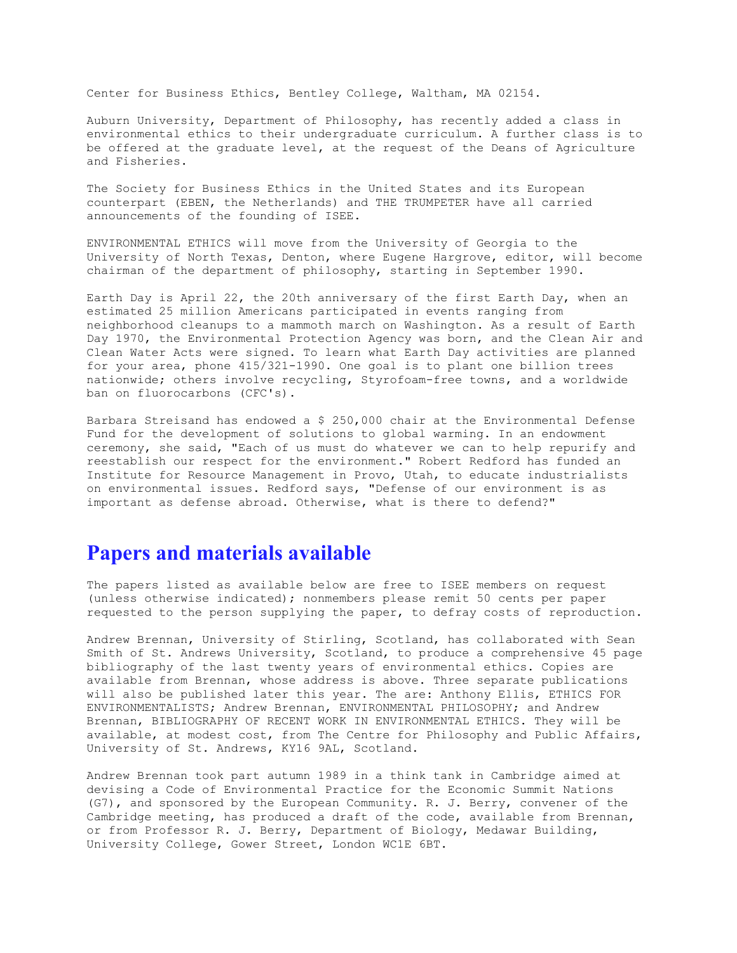Center for Business Ethics, Bentley College, Waltham, MA 02154.

Auburn University, Department of Philosophy, has recently added a class in environmental ethics to their undergraduate curriculum. A further class is to be offered at the graduate level, at the request of the Deans of Agriculture and Fisheries.

The Society for Business Ethics in the United States and its European counterpart (EBEN, the Netherlands) and THE TRUMPETER have all carried announcements of the founding of ISEE.

ENVIRONMENTAL ETHICS will move from the University of Georgia to the University of North Texas, Denton, where Eugene Hargrove, editor, will become chairman of the department of philosophy, starting in September 1990.

Earth Day is April 22, the 20th anniversary of the first Earth Day, when an estimated 25 million Americans participated in events ranging from neighborhood cleanups to a mammoth march on Washington. As a result of Earth Day 1970, the Environmental Protection Agency was born, and the Clean Air and Clean Water Acts were signed. To learn what Earth Day activities are planned for your area, phone 415/321-1990. One goal is to plant one billion trees nationwide; others involve recycling, Styrofoam-free towns, and a worldwide ban on fluorocarbons (CFC's).

Barbara Streisand has endowed a \$ 250,000 chair at the Environmental Defense Fund for the development of solutions to global warming. In an endowment ceremony, she said, "Each of us must do whatever we can to help repurify and reestablish our respect for the environment." Robert Redford has funded an Institute for Resource Management in Provo, Utah, to educate industrialists on environmental issues. Redford says, "Defense of our environment is as important as defense abroad. Otherwise, what is there to defend?"

#### **Papers and materials available**

The papers listed as available below are free to ISEE members on request (unless otherwise indicated); nonmembers please remit 50 cents per paper requested to the person supplying the paper, to defray costs of reproduction.

Andrew Brennan, University of Stirling, Scotland, has collaborated with Sean Smith of St. Andrews University, Scotland, to produce a comprehensive 45 page bibliography of the last twenty years of environmental ethics. Copies are available from Brennan, whose address is above. Three separate publications will also be published later this year. The are: Anthony Ellis, ETHICS FOR ENVIRONMENTALISTS; Andrew Brennan, ENVIRONMENTAL PHILOSOPHY; and Andrew Brennan, BIBLIOGRAPHY OF RECENT WORK IN ENVIRONMENTAL ETHICS. They will be available, at modest cost, from The Centre for Philosophy and Public Affairs, University of St. Andrews, KY16 9AL, Scotland.

Andrew Brennan took part autumn 1989 in a think tank in Cambridge aimed at devising a Code of Environmental Practice for the Economic Summit Nations (G7), and sponsored by the European Community. R. J. Berry, convener of the Cambridge meeting, has produced a draft of the code, available from Brennan, or from Professor R. J. Berry, Department of Biology, Medawar Building, University College, Gower Street, London WC1E 6BT.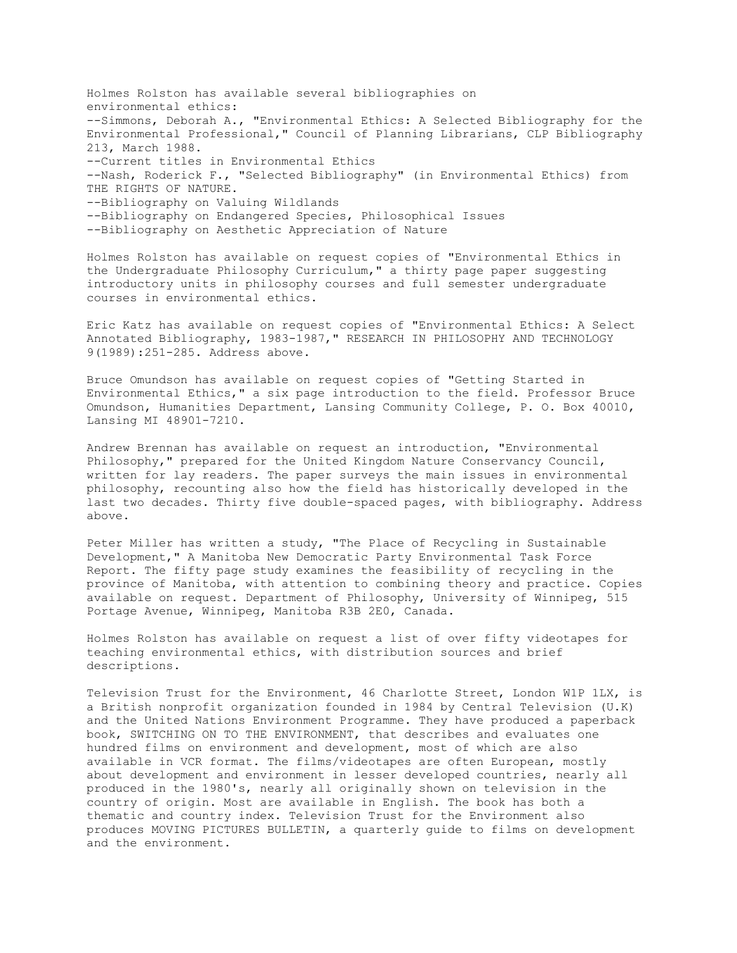Holmes Rolston has available several bibliographies on environmental ethics: --Simmons, Deborah A., "Environmental Ethics: A Selected Bibliography for the Environmental Professional," Council of Planning Librarians, CLP Bibliography 213, March 1988. --Current titles in Environmental Ethics --Nash, Roderick F., "Selected Bibliography" (in Environmental Ethics) from THE RIGHTS OF NATURE. --Bibliography on Valuing Wildlands --Bibliography on Endangered Species, Philosophical Issues --Bibliography on Aesthetic Appreciation of Nature

Holmes Rolston has available on request copies of "Environmental Ethics in the Undergraduate Philosophy Curriculum," a thirty page paper suggesting introductory units in philosophy courses and full semester undergraduate courses in environmental ethics.

Eric Katz has available on request copies of "Environmental Ethics: A Select Annotated Bibliography, 1983-1987," RESEARCH IN PHILOSOPHY AND TECHNOLOGY 9(1989):251-285. Address above.

Bruce Omundson has available on request copies of "Getting Started in Environmental Ethics," a six page introduction to the field. Professor Bruce Omundson, Humanities Department, Lansing Community College, P. O. Box 40010, Lansing MI 48901-7210.

Andrew Brennan has available on request an introduction, "Environmental Philosophy," prepared for the United Kingdom Nature Conservancy Council, written for lay readers. The paper surveys the main issues in environmental philosophy, recounting also how the field has historically developed in the last two decades. Thirty five double-spaced pages, with bibliography. Address above.

Peter Miller has written a study, "The Place of Recycling in Sustainable Development," A Manitoba New Democratic Party Environmental Task Force Report. The fifty page study examines the feasibility of recycling in the province of Manitoba, with attention to combining theory and practice. Copies available on request. Department of Philosophy, University of Winnipeg, 515 Portage Avenue, Winnipeg, Manitoba R3B 2E0, Canada.

Holmes Rolston has available on request a list of over fifty videotapes for teaching environmental ethics, with distribution sources and brief descriptions.

Television Trust for the Environment, 46 Charlotte Street, London W1P 1LX, is a British nonprofit organization founded in 1984 by Central Television (U.K) and the United Nations Environment Programme. They have produced a paperback book, SWITCHING ON TO THE ENVIRONMENT, that describes and evaluates one hundred films on environment and development, most of which are also available in VCR format. The films/videotapes are often European, mostly about development and environment in lesser developed countries, nearly all produced in the 1980's, nearly all originally shown on television in the country of origin. Most are available in English. The book has both a thematic and country index. Television Trust for the Environment also produces MOVING PICTURES BULLETIN, a quarterly guide to films on development and the environment.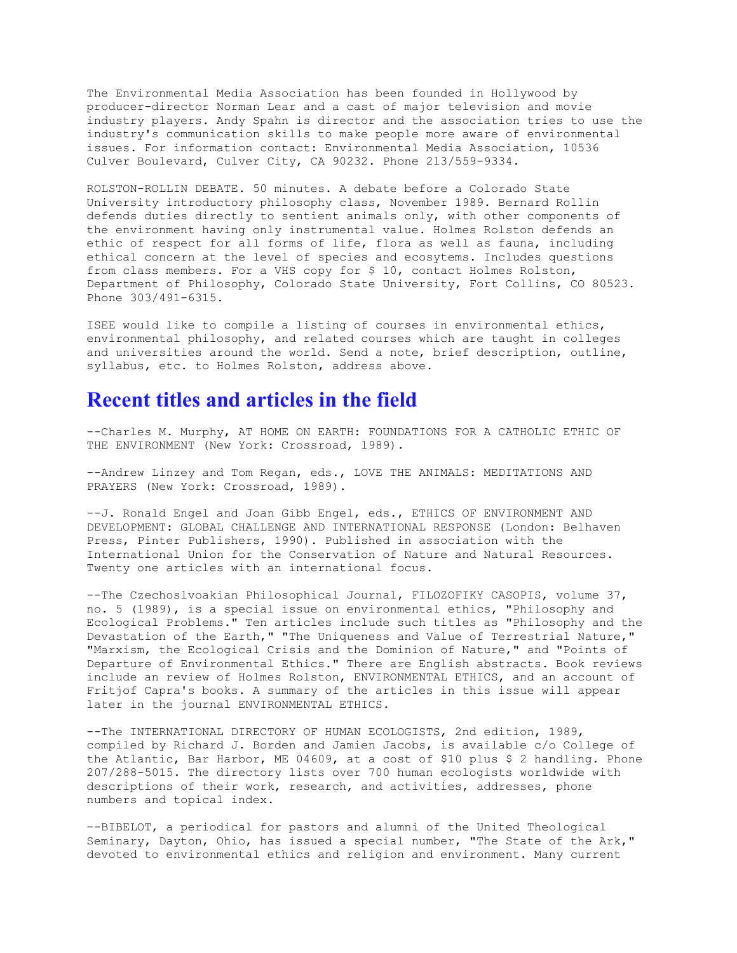The Environmental Media Association has been founded in Hollywood by producer-director Norman Lear and a cast of major television and movie industry players. Andy Spahn is director and the association tries to use the industry's communication skills to make people more aware of environmental issues. For information contact: Environmental Media Association, 10536 Culver Boulevard, Culver City, CA 90232. Phone 213/559-9334.

ROLSTON-ROLLIN DEBATE. 50 minutes. A debate before a Colorado State University introductory philosophy class, November 1989. Bernard Rollin defends duties directly to sentient animals only, with other components of the environment having only instrumental value. Holmes Rolston defends an ethic of respect for all forms of life, flora as well as fauna, including ethical concern at the level of species and ecosytems. Includes questions from class members. For a VHS copy for \$ 10, contact Holmes Rolston, Department of Philosophy, Colorado State University, Fort Collins, CO 80523. Phone 303/491-6315.

ISEE would like to compile a listing of courses in environmental ethics, environmental philosophy, and related courses which are taught in colleges and universities around the world. Send a note, brief description, outline, syllabus, etc. to Holmes Rolston, address above.

#### **Recent titles and articles in the field**

--Charles M. Murphy, AT HOME ON EARTH: FOUNDATIONS FOR A CATHOLIC ETHIC OF THE ENVIRONMENT (New York: Crossroad, 1989).

--Andrew Linzey and Tom Regan, eds., LOVE THE ANIMALS: MEDITATIONS AND PRAYERS (New York: Crossroad, 1989).

--J. Ronald Engel and Joan Gibb Engel, eds., ETHICS OF ENVIRONMENT AND DEVELOPMENT: GLOBAL CHALLENGE AND INTERNATIONAL RESPONSE (London: Belhaven Press, Pinter Publishers, 1990). Published in association with the International Union for the Conservation of Nature and Natural Resources. Twenty one articles with an international focus.

--The Czechoslvoakian Philosophical Journal, FILOZOFIKY CASOPIS, volume 37, no. 5 (1989), is a special issue on environmental ethics, "Philosophy and Ecological Problems." Ten articles include such titles as "Philosophy and the Devastation of the Earth," "The Uniqueness and Value of Terrestrial Nature," "Marxism, the Ecological Crisis and the Dominion of Nature," and "Points of Departure of Environmental Ethics." There are English abstracts. Book reviews include an review of Holmes Rolston, ENVIRONMENTAL ETHICS, and an account of Fritjof Capra's books. A summary of the articles in this issue will appear later in the journal ENVIRONMENTAL ETHICS.

--The INTERNATIONAL DIRECTORY OF HUMAN ECOLOGISTS, 2nd edition, 1989, compiled by Richard J. Borden and Jamien Jacobs, is available c/o College of the Atlantic, Bar Harbor, ME 04609, at a cost of \$10 plus \$ 2 handling. Phone 207/288-5015. The directory lists over 700 human ecologists worldwide with descriptions of their work, research, and activities, addresses, phone numbers and topical index.

--BIBELOT, a periodical for pastors and alumni of the United Theological Seminary, Dayton, Ohio, has issued a special number, "The State of the Ark," devoted to environmental ethics and religion and environment. Many current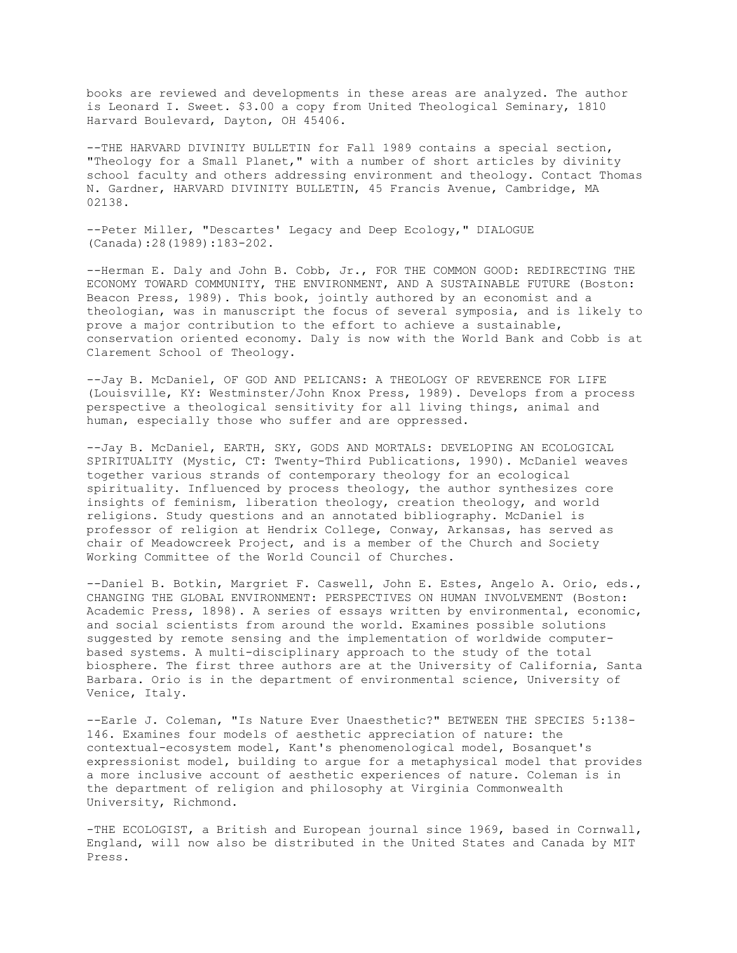books are reviewed and developments in these areas are analyzed. The author is Leonard I. Sweet. \$3.00 a copy from United Theological Seminary, 1810 Harvard Boulevard, Dayton, OH 45406.

--THE HARVARD DIVINITY BULLETIN for Fall 1989 contains a special section, "Theology for a Small Planet," with a number of short articles by divinity school faculty and others addressing environment and theology. Contact Thomas N. Gardner, HARVARD DIVINITY BULLETIN, 45 Francis Avenue, Cambridge, MA 02138.

--Peter Miller, "Descartes' Legacy and Deep Ecology," DIALOGUE (Canada):28(1989):183-202.

--Herman E. Daly and John B. Cobb, Jr., FOR THE COMMON GOOD: REDIRECTING THE ECONOMY TOWARD COMMUNITY, THE ENVIRONMENT, AND A SUSTAINABLE FUTURE (Boston: Beacon Press, 1989). This book, jointly authored by an economist and a theologian, was in manuscript the focus of several symposia, and is likely to prove a major contribution to the effort to achieve a sustainable, conservation oriented economy. Daly is now with the World Bank and Cobb is at Clarement School of Theology.

--Jay B. McDaniel, OF GOD AND PELICANS: A THEOLOGY OF REVERENCE FOR LIFE (Louisville, KY: Westminster/John Knox Press, 1989). Develops from a process perspective a theological sensitivity for all living things, animal and human, especially those who suffer and are oppressed.

--Jay B. McDaniel, EARTH, SKY, GODS AND MORTALS: DEVELOPING AN ECOLOGICAL SPIRITUALITY (Mystic, CT: Twenty-Third Publications, 1990). McDaniel weaves together various strands of contemporary theology for an ecological spirituality. Influenced by process theology, the author synthesizes core insights of feminism, liberation theology, creation theology, and world religions. Study questions and an annotated bibliography. McDaniel is professor of religion at Hendrix College, Conway, Arkansas, has served as chair of Meadowcreek Project, and is a member of the Church and Society Working Committee of the World Council of Churches.

--Daniel B. Botkin, Margriet F. Caswell, John E. Estes, Angelo A. Orio, eds., CHANGING THE GLOBAL ENVIRONMENT: PERSPECTIVES ON HUMAN INVOLVEMENT (Boston: Academic Press, 1898). A series of essays written by environmental, economic, and social scientists from around the world. Examines possible solutions suggested by remote sensing and the implementation of worldwide computerbased systems. A multi-disciplinary approach to the study of the total biosphere. The first three authors are at the University of California, Santa Barbara. Orio is in the department of environmental science, University of Venice, Italy.

--Earle J. Coleman, "Is Nature Ever Unaesthetic?" BETWEEN THE SPECIES 5:138- 146. Examines four models of aesthetic appreciation of nature: the contextual-ecosystem model, Kant's phenomenological model, Bosanquet's expressionist model, building to argue for a metaphysical model that provides a more inclusive account of aesthetic experiences of nature. Coleman is in the department of religion and philosophy at Virginia Commonwealth University, Richmond.

-THE ECOLOGIST, a British and European journal since 1969, based in Cornwall, England, will now also be distributed in the United States and Canada by MIT Press.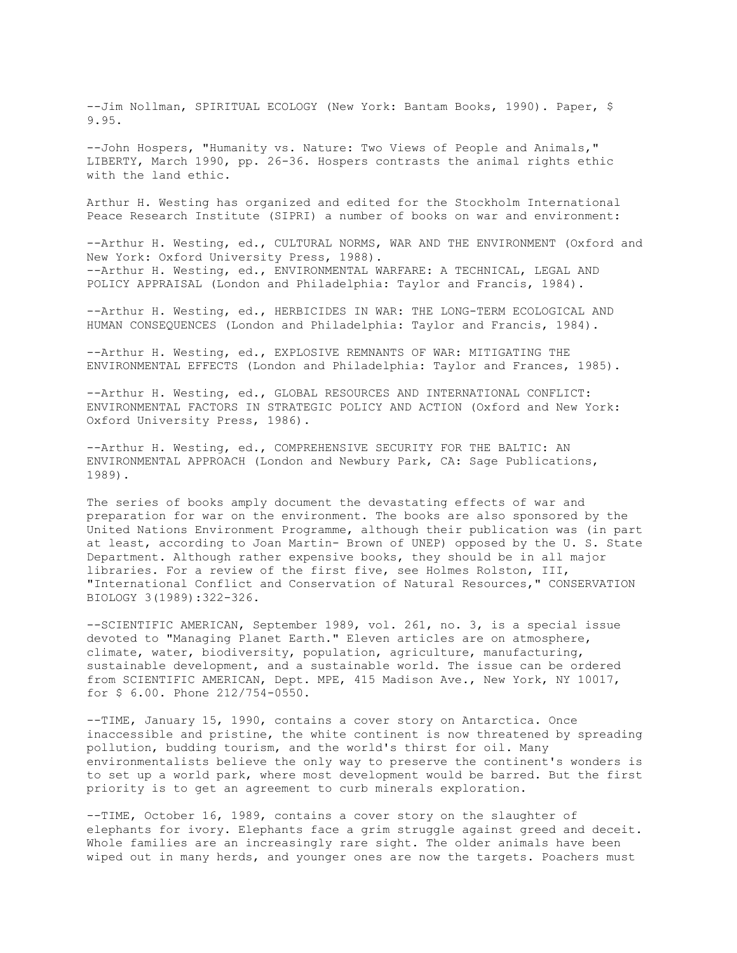--Jim Nollman, SPIRITUAL ECOLOGY (New York: Bantam Books, 1990). Paper, \$ 9.95.

--John Hospers, "Humanity vs. Nature: Two Views of People and Animals," LIBERTY, March 1990, pp. 26-36. Hospers contrasts the animal rights ethic with the land ethic.

Arthur H. Westing has organized and edited for the Stockholm International Peace Research Institute (SIPRI) a number of books on war and environment:

--Arthur H. Westing, ed., CULTURAL NORMS, WAR AND THE ENVIRONMENT (Oxford and New York: Oxford University Press, 1988). --Arthur H. Westing, ed., ENVIRONMENTAL WARFARE: A TECHNICAL, LEGAL AND POLICY APPRAISAL (London and Philadelphia: Taylor and Francis, 1984).

--Arthur H. Westing, ed., HERBICIDES IN WAR: THE LONG-TERM ECOLOGICAL AND HUMAN CONSEQUENCES (London and Philadelphia: Taylor and Francis, 1984).

--Arthur H. Westing, ed., EXPLOSIVE REMNANTS OF WAR: MITIGATING THE ENVIRONMENTAL EFFECTS (London and Philadelphia: Taylor and Frances, 1985).

--Arthur H. Westing, ed., GLOBAL RESOURCES AND INTERNATIONAL CONFLICT: ENVIRONMENTAL FACTORS IN STRATEGIC POLICY AND ACTION (Oxford and New York: Oxford University Press, 1986).

--Arthur H. Westing, ed., COMPREHENSIVE SECURITY FOR THE BALTIC: AN ENVIRONMENTAL APPROACH (London and Newbury Park, CA: Sage Publications, 1989).

The series of books amply document the devastating effects of war and preparation for war on the environment. The books are also sponsored by the United Nations Environment Programme, although their publication was (in part at least, according to Joan Martin- Brown of UNEP) opposed by the U. S. State Department. Although rather expensive books, they should be in all major libraries. For a review of the first five, see Holmes Rolston, III, "International Conflict and Conservation of Natural Resources," CONSERVATION BIOLOGY 3(1989):322-326.

--SCIENTIFIC AMERICAN, September 1989, vol. 261, no. 3, is a special issue devoted to "Managing Planet Earth." Eleven articles are on atmosphere, climate, water, biodiversity, population, agriculture, manufacturing, sustainable development, and a sustainable world. The issue can be ordered from SCIENTIFIC AMERICAN, Dept. MPE, 415 Madison Ave., New York, NY 10017, for \$ 6.00. Phone 212/754-0550.

--TIME, January 15, 1990, contains a cover story on Antarctica. Once inaccessible and pristine, the white continent is now threatened by spreading pollution, budding tourism, and the world's thirst for oil. Many environmentalists believe the only way to preserve the continent's wonders is to set up a world park, where most development would be barred. But the first priority is to get an agreement to curb minerals exploration.

--TIME, October 16, 1989, contains a cover story on the slaughter of elephants for ivory. Elephants face a grim struggle against greed and deceit. Whole families are an increasingly rare sight. The older animals have been wiped out in many herds, and younger ones are now the targets. Poachers must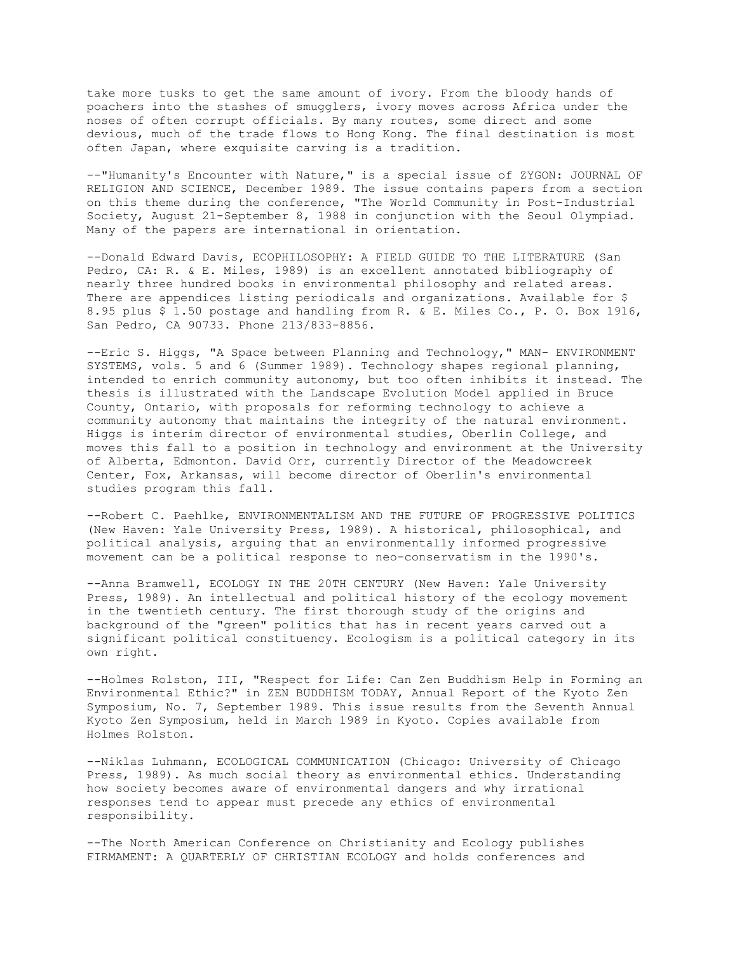take more tusks to get the same amount of ivory. From the bloody hands of poachers into the stashes of smugglers, ivory moves across Africa under the noses of often corrupt officials. By many routes, some direct and some devious, much of the trade flows to Hong Kong. The final destination is most often Japan, where exquisite carving is a tradition.

--"Humanity's Encounter with Nature," is a special issue of ZYGON: JOURNAL OF RELIGION AND SCIENCE, December 1989. The issue contains papers from a section on this theme during the conference, "The World Community in Post-Industrial Society, August 21-September 8, 1988 in conjunction with the Seoul Olympiad. Many of the papers are international in orientation.

--Donald Edward Davis, ECOPHILOSOPHY: A FIELD GUIDE TO THE LITERATURE (San Pedro, CA: R. & E. Miles, 1989) is an excellent annotated bibliography of nearly three hundred books in environmental philosophy and related areas. There are appendices listing periodicals and organizations. Available for \$ 8.95 plus \$ 1.50 postage and handling from R. & E. Miles Co., P. O. Box 1916, San Pedro, CA 90733. Phone 213/833-8856.

--Eric S. Higgs, "A Space between Planning and Technology," MAN- ENVIRONMENT SYSTEMS, vols. 5 and 6 (Summer 1989). Technology shapes regional planning, intended to enrich community autonomy, but too often inhibits it instead. The thesis is illustrated with the Landscape Evolution Model applied in Bruce County, Ontario, with proposals for reforming technology to achieve a community autonomy that maintains the integrity of the natural environment. Higgs is interim director of environmental studies, Oberlin College, and moves this fall to a position in technology and environment at the University of Alberta, Edmonton. David Orr, currently Director of the Meadowcreek Center, Fox, Arkansas, will become director of Oberlin's environmental studies program this fall.

--Robert C. Paehlke, ENVIRONMENTALISM AND THE FUTURE OF PROGRESSIVE POLITICS (New Haven: Yale University Press, 1989). A historical, philosophical, and political analysis, arguing that an environmentally informed progressive movement can be a political response to neo-conservatism in the 1990's.

--Anna Bramwell, ECOLOGY IN THE 20TH CENTURY (New Haven: Yale University Press, 1989). An intellectual and political history of the ecology movement in the twentieth century. The first thorough study of the origins and background of the "green" politics that has in recent years carved out a significant political constituency. Ecologism is a political category in its own right.

--Holmes Rolston, III, "Respect for Life: Can Zen Buddhism Help in Forming an Environmental Ethic?" in ZEN BUDDHISM TODAY, Annual Report of the Kyoto Zen Symposium, No. 7, September 1989. This issue results from the Seventh Annual Kyoto Zen Symposium, held in March 1989 in Kyoto. Copies available from Holmes Rolston.

--Niklas Luhmann, ECOLOGICAL COMMUNICATION (Chicago: University of Chicago Press, 1989). As much social theory as environmental ethics. Understanding how society becomes aware of environmental dangers and why irrational responses tend to appear must precede any ethics of environmental responsibility.

--The North American Conference on Christianity and Ecology publishes FIRMAMENT: A QUARTERLY OF CHRISTIAN ECOLOGY and holds conferences and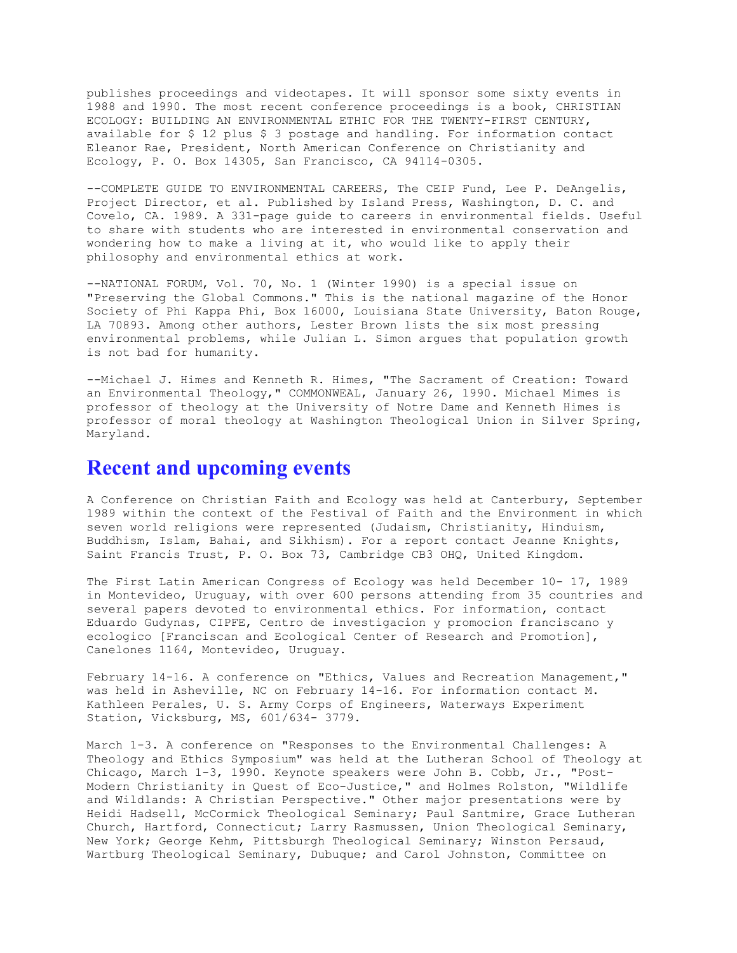publishes proceedings and videotapes. It will sponsor some sixty events in 1988 and 1990. The most recent conference proceedings is a book, CHRISTIAN ECOLOGY: BUILDING AN ENVIRONMENTAL ETHIC FOR THE TWENTY-FIRST CENTURY, available for \$ 12 plus \$ 3 postage and handling. For information contact Eleanor Rae, President, North American Conference on Christianity and Ecology, P. O. Box 14305, San Francisco, CA 94114-0305.

--COMPLETE GUIDE TO ENVIRONMENTAL CAREERS, The CEIP Fund, Lee P. DeAngelis, Project Director, et al. Published by Island Press, Washington, D. C. and Covelo, CA. 1989. A 331-page guide to careers in environmental fields. Useful to share with students who are interested in environmental conservation and wondering how to make a living at it, who would like to apply their philosophy and environmental ethics at work.

--NATIONAL FORUM, Vol. 70, No. 1 (Winter 1990) is a special issue on "Preserving the Global Commons." This is the national magazine of the Honor Society of Phi Kappa Phi, Box 16000, Louisiana State University, Baton Rouge, LA 70893. Among other authors, Lester Brown lists the six most pressing environmental problems, while Julian L. Simon argues that population growth is not bad for humanity.

--Michael J. Himes and Kenneth R. Himes, "The Sacrament of Creation: Toward an Environmental Theology," COMMONWEAL, January 26, 1990. Michael Mimes is professor of theology at the University of Notre Dame and Kenneth Himes is professor of moral theology at Washington Theological Union in Silver Spring, Maryland.

#### **Recent and upcoming events**

A Conference on Christian Faith and Ecology was held at Canterbury, September 1989 within the context of the Festival of Faith and the Environment in which seven world religions were represented (Judaism, Christianity, Hinduism, Buddhism, Islam, Bahai, and Sikhism). For a report contact Jeanne Knights, Saint Francis Trust, P. O. Box 73, Cambridge CB3 OHQ, United Kingdom.

The First Latin American Congress of Ecology was held December 10- 17, 1989 in Montevideo, Uruguay, with over 600 persons attending from 35 countries and several papers devoted to environmental ethics. For information, contact Eduardo Gudynas, CIPFE, Centro de investigacion y promocion franciscano y ecologico [Franciscan and Ecological Center of Research and Promotion], Canelones 1164, Montevideo, Uruguay.

February 14-16. A conference on "Ethics, Values and Recreation Management," was held in Asheville, NC on February 14-16. For information contact M. Kathleen Perales, U. S. Army Corps of Engineers, Waterways Experiment Station, Vicksburg, MS, 601/634- 3779.

March 1-3. A conference on "Responses to the Environmental Challenges: A Theology and Ethics Symposium" was held at the Lutheran School of Theology at Chicago, March 1-3, 1990. Keynote speakers were John B. Cobb, Jr., "Post-Modern Christianity in Quest of Eco-Justice," and Holmes Rolston, "Wildlife and Wildlands: A Christian Perspective." Other major presentations were by Heidi Hadsell, McCormick Theological Seminary; Paul Santmire, Grace Lutheran Church, Hartford, Connecticut; Larry Rasmussen, Union Theological Seminary, New York; George Kehm, Pittsburgh Theological Seminary; Winston Persaud, Wartburg Theological Seminary, Dubuque; and Carol Johnston, Committee on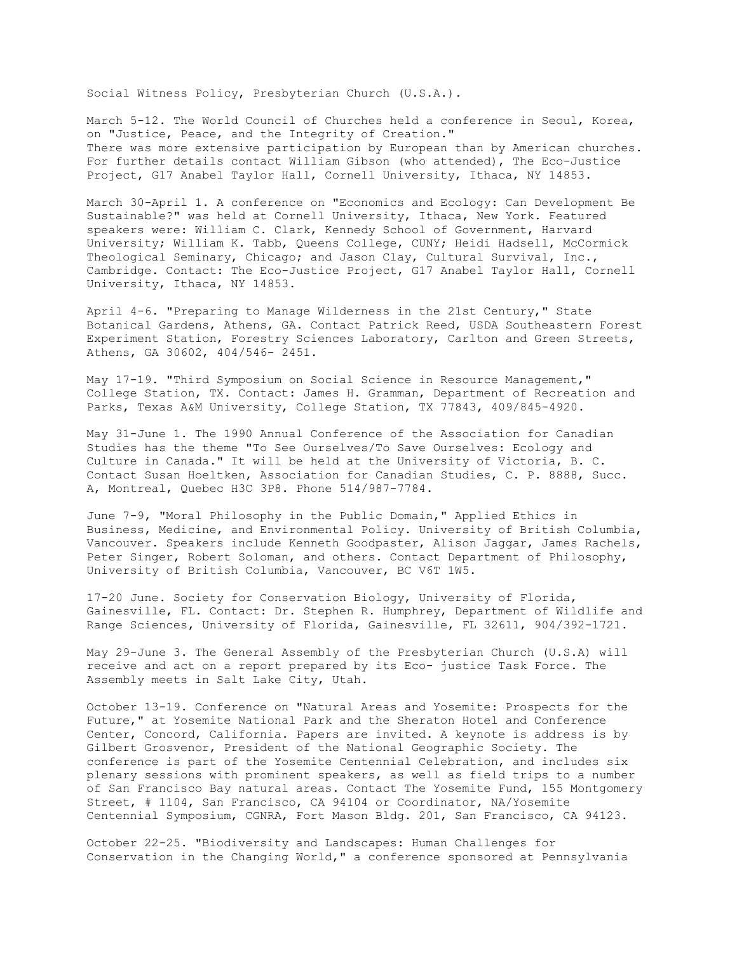Social Witness Policy, Presbyterian Church (U.S.A.).

March 5-12. The World Council of Churches held a conference in Seoul, Korea, on "Justice, Peace, and the Integrity of Creation." There was more extensive participation by European than by American churches. For further details contact William Gibson (who attended), The Eco-Justice Project, G17 Anabel Taylor Hall, Cornell University, Ithaca, NY 14853.

March 30-April 1. A conference on "Economics and Ecology: Can Development Be Sustainable?" was held at Cornell University, Ithaca, New York. Featured speakers were: William C. Clark, Kennedy School of Government, Harvard University; William K. Tabb, Queens College, CUNY; Heidi Hadsell, McCormick Theological Seminary, Chicago; and Jason Clay, Cultural Survival, Inc., Cambridge. Contact: The Eco-Justice Project, G17 Anabel Taylor Hall, Cornell University, Ithaca, NY 14853.

April 4-6. "Preparing to Manage Wilderness in the 21st Century," State Botanical Gardens, Athens, GA. Contact Patrick Reed, USDA Southeastern Forest Experiment Station, Forestry Sciences Laboratory, Carlton and Green Streets, Athens, GA 30602, 404/546- 2451.

May 17-19. "Third Symposium on Social Science in Resource Management," College Station, TX. Contact: James H. Gramman, Department of Recreation and Parks, Texas A&M University, College Station, TX 77843, 409/845-4920.

May 31-June 1. The 1990 Annual Conference of the Association for Canadian Studies has the theme "To See Ourselves/To Save Ourselves: Ecology and Culture in Canada." It will be held at the University of Victoria, B. C. Contact Susan Hoeltken, Association for Canadian Studies, C. P. 8888, Succ. A, Montreal, Quebec H3C 3P8. Phone 514/987-7784.

June 7-9, "Moral Philosophy in the Public Domain," Applied Ethics in Business, Medicine, and Environmental Policy. University of British Columbia, Vancouver. Speakers include Kenneth Goodpaster, Alison Jaggar, James Rachels, Peter Singer, Robert Soloman, and others. Contact Department of Philosophy, University of British Columbia, Vancouver, BC V6T 1W5.

17-20 June. Society for Conservation Biology, University of Florida, Gainesville, FL. Contact: Dr. Stephen R. Humphrey, Department of Wildlife and Range Sciences, University of Florida, Gainesville, FL 32611, 904/392-1721.

May 29-June 3. The General Assembly of the Presbyterian Church (U.S.A) will receive and act on a report prepared by its Eco- justice Task Force. The Assembly meets in Salt Lake City, Utah.

October 13-19. Conference on "Natural Areas and Yosemite: Prospects for the Future," at Yosemite National Park and the Sheraton Hotel and Conference Center, Concord, California. Papers are invited. A keynote is address is by Gilbert Grosvenor, President of the National Geographic Society. The conference is part of the Yosemite Centennial Celebration, and includes six plenary sessions with prominent speakers, as well as field trips to a number of San Francisco Bay natural areas. Contact The Yosemite Fund, 155 Montgomery Street, # 1104, San Francisco, CA 94104 or Coordinator, NA/Yosemite Centennial Symposium, CGNRA, Fort Mason Bldg. 201, San Francisco, CA 94123.

October 22-25. "Biodiversity and Landscapes: Human Challenges for Conservation in the Changing World," a conference sponsored at Pennsylvania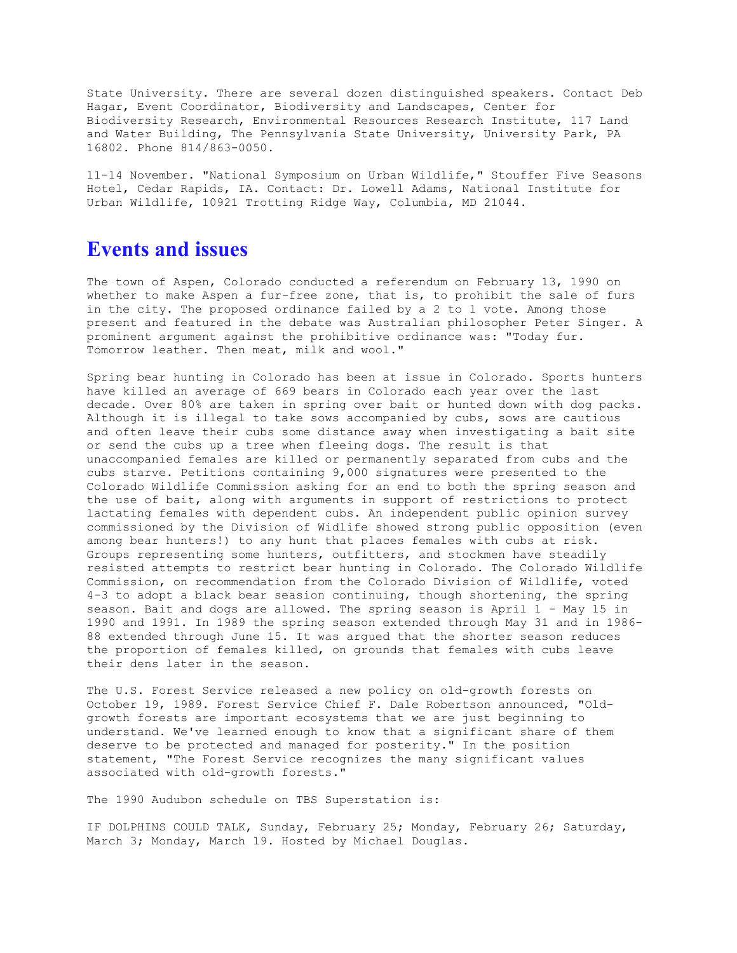State University. There are several dozen distinguished speakers. Contact Deb Hagar, Event Coordinator, Biodiversity and Landscapes, Center for Biodiversity Research, Environmental Resources Research Institute, 117 Land and Water Building, The Pennsylvania State University, University Park, PA 16802. Phone 814/863-0050.

11-14 November. "National Symposium on Urban Wildlife," Stouffer Five Seasons Hotel, Cedar Rapids, IA. Contact: Dr. Lowell Adams, National Institute for Urban Wildlife, 10921 Trotting Ridge Way, Columbia, MD 21044.

### **Events and issues**

The town of Aspen, Colorado conducted a referendum on February 13, 1990 on whether to make Aspen a fur-free zone, that is, to prohibit the sale of furs in the city. The proposed ordinance failed by a 2 to 1 vote. Among those present and featured in the debate was Australian philosopher Peter Singer. A prominent argument against the prohibitive ordinance was: "Today fur. Tomorrow leather. Then meat, milk and wool."

Spring bear hunting in Colorado has been at issue in Colorado. Sports hunters have killed an average of 669 bears in Colorado each year over the last decade. Over 80% are taken in spring over bait or hunted down with dog packs. Although it is illegal to take sows accompanied by cubs, sows are cautious and often leave their cubs some distance away when investigating a bait site or send the cubs up a tree when fleeing dogs. The result is that unaccompanied females are killed or permanently separated from cubs and the cubs starve. Petitions containing 9,000 signatures were presented to the Colorado Wildlife Commission asking for an end to both the spring season and the use of bait, along with arguments in support of restrictions to protect lactating females with dependent cubs. An independent public opinion survey commissioned by the Division of Widlife showed strong public opposition (even among bear hunters!) to any hunt that places females with cubs at risk. Groups representing some hunters, outfitters, and stockmen have steadily resisted attempts to restrict bear hunting in Colorado. The Colorado Wildlife Commission, on recommendation from the Colorado Division of Wildlife, voted 4-3 to adopt a black bear seasion continuing, though shortening, the spring season. Bait and dogs are allowed. The spring season is April 1 - May 15 in 1990 and 1991. In 1989 the spring season extended through May 31 and in 1986- 88 extended through June 15. It was argued that the shorter season reduces the proportion of females killed, on grounds that females with cubs leave their dens later in the season.

The U.S. Forest Service released a new policy on old-growth forests on October 19, 1989. Forest Service Chief F. Dale Robertson announced, "Oldgrowth forests are important ecosystems that we are just beginning to understand. We've learned enough to know that a significant share of them deserve to be protected and managed for posterity." In the position statement, "The Forest Service recognizes the many significant values associated with old-growth forests."

The 1990 Audubon schedule on TBS Superstation is:

IF DOLPHINS COULD TALK, Sunday, February 25; Monday, February 26; Saturday, March 3; Monday, March 19. Hosted by Michael Douglas.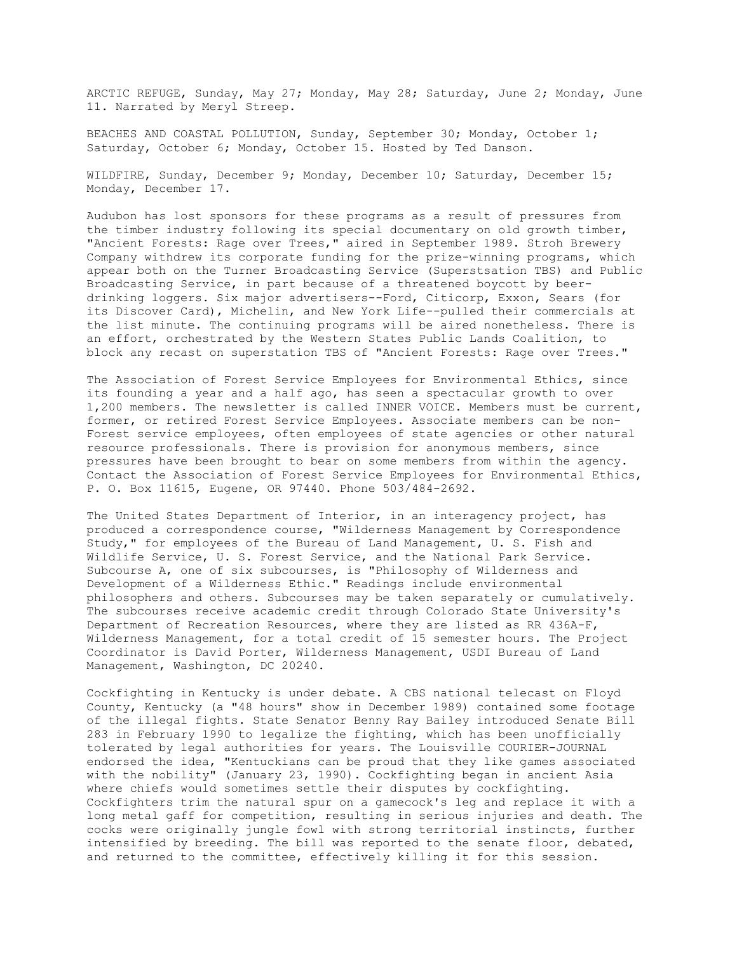ARCTIC REFUGE, Sunday, May 27; Monday, May 28; Saturday, June 2; Monday, June 11. Narrated by Meryl Streep.

BEACHES AND COASTAL POLLUTION, Sunday, September 30; Monday, October 1; Saturday, October 6; Monday, October 15. Hosted by Ted Danson.

WILDFIRE, Sunday, December 9; Monday, December 10; Saturday, December 15; Monday, December 17.

Audubon has lost sponsors for these programs as a result of pressures from the timber industry following its special documentary on old growth timber, "Ancient Forests: Rage over Trees," aired in September 1989. Stroh Brewery Company withdrew its corporate funding for the prize-winning programs, which appear both on the Turner Broadcasting Service (Superstsation TBS) and Public Broadcasting Service, in part because of a threatened boycott by beerdrinking loggers. Six major advertisers--Ford, Citicorp, Exxon, Sears (for its Discover Card), Michelin, and New York Life--pulled their commercials at the list minute. The continuing programs will be aired nonetheless. There is an effort, orchestrated by the Western States Public Lands Coalition, to block any recast on superstation TBS of "Ancient Forests: Rage over Trees."

The Association of Forest Service Employees for Environmental Ethics, since its founding a year and a half ago, has seen a spectacular growth to over 1,200 members. The newsletter is called INNER VOICE. Members must be current, former, or retired Forest Service Employees. Associate members can be non-Forest service employees, often employees of state agencies or other natural resource professionals. There is provision for anonymous members, since pressures have been brought to bear on some members from within the agency. Contact the Association of Forest Service Employees for Environmental Ethics, P. O. Box 11615, Eugene, OR 97440. Phone 503/484-2692.

The United States Department of Interior, in an interagency project, has produced a correspondence course, "Wilderness Management by Correspondence Study," for employees of the Bureau of Land Management, U. S. Fish and Wildlife Service, U. S. Forest Service, and the National Park Service. Subcourse A, one of six subcourses, is "Philosophy of Wilderness and Development of a Wilderness Ethic." Readings include environmental philosophers and others. Subcourses may be taken separately or cumulatively. The subcourses receive academic credit through Colorado State University's Department of Recreation Resources, where they are listed as RR 436A-F, Wilderness Management, for a total credit of 15 semester hours. The Project Coordinator is David Porter, Wilderness Management, USDI Bureau of Land Management, Washington, DC 20240.

Cockfighting in Kentucky is under debate. A CBS national telecast on Floyd County, Kentucky (a "48 hours" show in December 1989) contained some footage of the illegal fights. State Senator Benny Ray Bailey introduced Senate Bill 283 in February 1990 to legalize the fighting, which has been unofficially tolerated by legal authorities for years. The Louisville COURIER-JOURNAL endorsed the idea, "Kentuckians can be proud that they like games associated with the nobility" (January 23, 1990). Cockfighting began in ancient Asia where chiefs would sometimes settle their disputes by cockfighting. Cockfighters trim the natural spur on a gamecock's leg and replace it with a long metal gaff for competition, resulting in serious injuries and death. The cocks were originally jungle fowl with strong territorial instincts, further intensified by breeding. The bill was reported to the senate floor, debated, and returned to the committee, effectively killing it for this session.